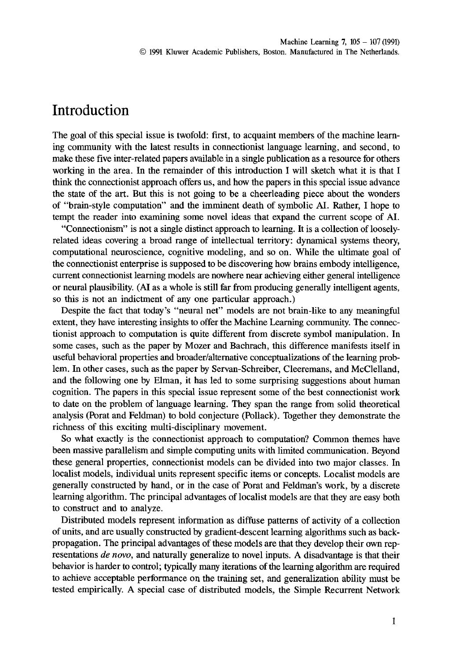## Introduction

The goal of this special issue is twofold: first, to acquaint members of the machine learning community with the latest results in connectionist language learning, and second, to make these five inter-related papers available in a single publication as a resource for others working in the area. In the remainder of this introduction I will sketch what it is that I think the connectionist approach offers us, and how the papers in this special issue advance the state of the art. But this is not going to be a cheerleading piece about the wonders of "brain-style computation" and the imminent death of symbolic **AT.** Rather, I hope to tempt the reader into examining some novel ideas that expand the current scope of AI.

"Connectionism" is not a single distinct approach to learning. It is a collection of looselyrelated ideas covering a broad range of intellectual territory: dynarnical systems theory, computational neuroscience, cognitive modeling, and so on. While the ultimate goal of the connectionist enterprise is supposed to be discovering how brains embody intelligence, current connectionist learning models are nowhere near achieving either general intelligence or neural plausibility. (A1 as a whole is still far from producing generally intelligent agents, so this is not an indictment of any one particular approach.)

Despite the fact that today's "neural net" models are not brain-like **to** any meaningful extent, they have interesting insights to offer the Machine Learning community. The connectionist approach to computation is quite different from discrete symbol manipulation. In some cases, such as the paper by Mozer and Bachrach, this difference manifests itself in useful behavioral properties and broader/alternative conceptualizations of the learning problem. In other cases, such as the paper by Servan-Schreiber, Cleeremans, and McClelland, and the following one by Elman, it has led to some surprising suggestions about human cognition. The papers in this special issue represent some of the best connectionist work to date on the problem of language learning. They span the range from solid theoretical analysis (Porat and Feldman) to bold conjecture (Pollack). Together they demonstrate the richness of this exciting multi-disciplinary movement.

So what exactly is the connectionist approach to computation? Common themes have been massive parallelism and simple computing units with limited communication. Beyond these general properties, connectionist models can be divided into two major classes. In localist models, individual units represent specific items or concepts. Localist models are generally constructed by hand, or in the case of Porat and Feldrnan's work, by a discrete learning algorithm. The principal advantages of localist models are that they are easy both to construct and to analyze.

Distributed models represent information as diffuse patterns of activity of a collection of units, and are usually constructed by gradient-descent learning algorithms such as backpropagation. The principal advantages of these models are that they develop their own representations de novo, and naturally generalize to novel inputs. **A** disadvantage is that their behavior is harder to control; typically many iterations of the learning algorithm are required to achieve acceptable performance on the training set, and generalization ability must be tested empirically. A special case of distributed models, the Simple Recurrent Network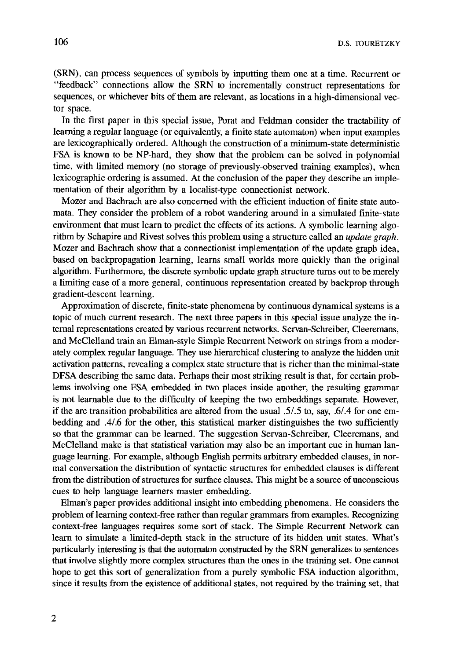(SRN), can process sequences of symbols by inputting them one at a time. Recurrent or "feedback" connections allow the SRN to incrementally construct representations for sequences, or whichever bits of them are relevant, as locations in a high-dimensional vector space.

In the first paper in this special issue, Porat and Feldman consider the tractability of learning a regular language (or equivalently, a finite state automaton) when input examples are lexicographically ordered. Although the construction of a minimum-state deterministic FSA is known to be NP-hard, they show that the problem can be solved in polynomial time, with limited memory (no storage of previously-observed training examples), when lexicographic ordering is assumed. At the conclusion of the paper they describe an implementation of their algorithm by a localist-type connectionist network.

Mozer and Bachrach are also concerned with the efficient induction of finite state automata. They consider the problem of a robot wandering around in a simulated finite-state environment that must learn to predict the effects of its actions. A symbolic learning algorithm by Schapire and Rivest solves this problem using a structure called an *update graph.*  Mozer and Bachrach show that a connectionist implementation of the update graph idea, based on backpropagafion learning, learns small worlds more quickly than the original algorithm. Furthermore, the discrete symbolic update graph structure turns out to be merely a limiting case of a more general, continuous representation created by backprop through gradient-descent learning.

Approximation of discrete, finite-state phenomena by continuous dynamical systems is a topic of much current research. The next three papers in this special issue analyze the internal representations created by various recurrent networks. Servan-Schreiber, Cleeremans, and McClelland train an Elman-style Simple Recurrent Network on strings from a moderately complex regular language. They use hierarchical clustering to analyze the hidden unit activation patterns, revealing a complex state structure that is richer than the minimal-state DFSA describing the same data. Perhaps their most striking result is that, for certain problems involving one FSA embedded in two places inside another, the resulting grammar is not learnable due to the difficulty of keeping the two embeddings separate. However, if the arc transition probabilities are altered from the usual .5/.5 to, say, *.6/.4* for one embedding and *.4/.6* for the other, this statistical marker distinguishes the two sufficiently so that the grammar can be learned. The suggestion Servan-Schreiber, Cleeremans, and McClelland make is that statistical variation may also be an important cue in human language learning. For example, although English permits arbitrary embedded clauses, in normal conversation the distribution of syntactic structures for embedded clauses is different from the distribution of structures for surface clauses. This might be a source of unconscious cues to help language learners master embedding.

Elman's paper provides additional insight into embedding phenomena. He considers the problem of learning context-free rather than regular grammars from examples. Recognizing context-free languages requires some sort of stack. The Simple Recurrent Network can learn to simulate a limited-depth stack in the structure of its hidden unit states. What's particularly interesting is that the automaton constructed by the SRN generalizes to sentences that involve slightly more complex structures than the ones in the training set. One cannot hope to get this sort of generalization from a purely symbolic FSA induction algorithm, since it results from the existence of additional states, not required by the training set, that